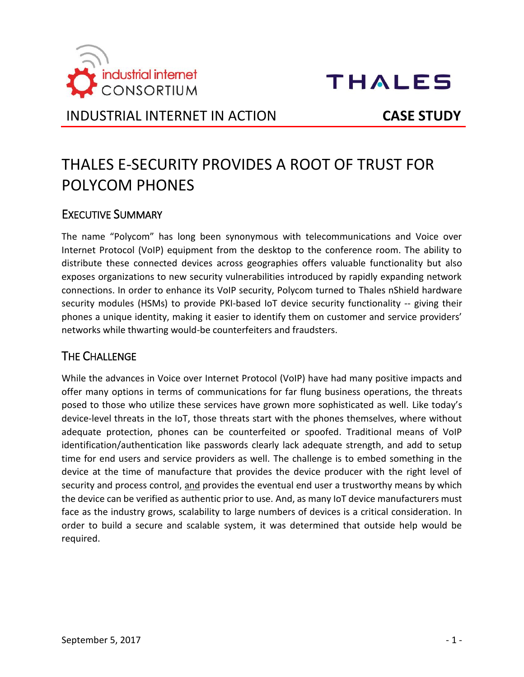



INDUSTRIAL INTERNET IN ACTION **CASE STUDY**

# THALES E-SECURITY PROVIDES A ROOT OF TRUST FOR POLYCOM PHONES

#### EXECUTIVE SUMMARY

The name "Polycom" has long been synonymous with telecommunications and Voice over Internet Protocol (VoIP) equipment from the desktop to the conference room. The ability to distribute these connected devices across geographies offers valuable functionality but also exposes organizations to new security vulnerabilities introduced by rapidly expanding network connections. In order to enhance its VoIP security, Polycom turned to Thales nShield hardware security modules (HSMs) to provide PKI-based IoT device security functionality -- giving their phones a unique identity, making it easier to identify them on customer and service providers' networks while thwarting would-be counterfeiters and fraudsters.

#### THE CHALLENGE

While the advances in Voice over Internet Protocol (VoIP) have had many positive impacts and offer many options in terms of communications for far flung business operations, the threats posed to those who utilize these services have grown more sophisticated as well. Like today's device-level threats in the IoT, those threats start with the phones themselves, where without adequate protection, phones can be counterfeited or spoofed. Traditional means of VoIP identification/authentication like passwords clearly lack adequate strength, and add to setup time for end users and service providers as well. The challenge is to embed something in the device at the time of manufacture that provides the device producer with the right level of security and process control, and provides the eventual end user a trustworthy means by which the device can be verified as authentic prior to use. And, as many IoT device manufacturers must face as the industry grows, scalability to large numbers of devices is a critical consideration. In order to build a secure and scalable system, it was determined that outside help would be required.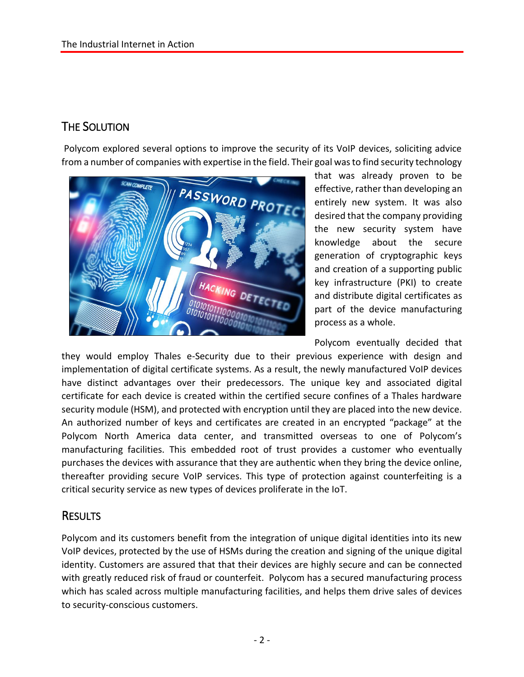# THE SOLUTION

Polycom explored several options to improve the security of its VoIP devices, soliciting advice from a number of companies with expertise in the field. Their goal was to find security technology



that was already proven to be effective, rather than developing an entirely new system. It was also desired that the company providing the new security system have knowledge about the secure generation of cryptographic keys and creation of a supporting public key infrastructure (PKI) to create and distribute digital certificates as part of the device manufacturing process as a whole.

Polycom eventually decided that

they would employ Thales e-Security due to their previous experience with design and implementation of digital certificate systems. As a result, the newly manufactured VoIP devices have distinct advantages over their predecessors. The unique key and associated digital certificate for each device is created within the certified secure confines of a Thales hardware security module (HSM), and protected with encryption until they are placed into the new device. An authorized number of keys and certificates are created in an encrypted "package" at the Polycom North America data center, and transmitted overseas to one of Polycom's manufacturing facilities. This embedded root of trust provides a customer who eventually purchases the devices with assurance that they are authentic when they bring the device online, thereafter providing secure VoIP services. This type of protection against counterfeiting is a critical security service as new types of devices proliferate in the IoT.

#### **RESULTS**

Polycom and its customers benefit from the integration of unique digital identities into its new VoIP devices, protected by the use of HSMs during the creation and signing of the unique digital identity. Customers are assured that that their devices are highly secure and can be connected with greatly reduced risk of fraud or counterfeit. Polycom has a secured manufacturing process which has scaled across multiple manufacturing facilities, and helps them drive sales of devices to security-conscious customers.